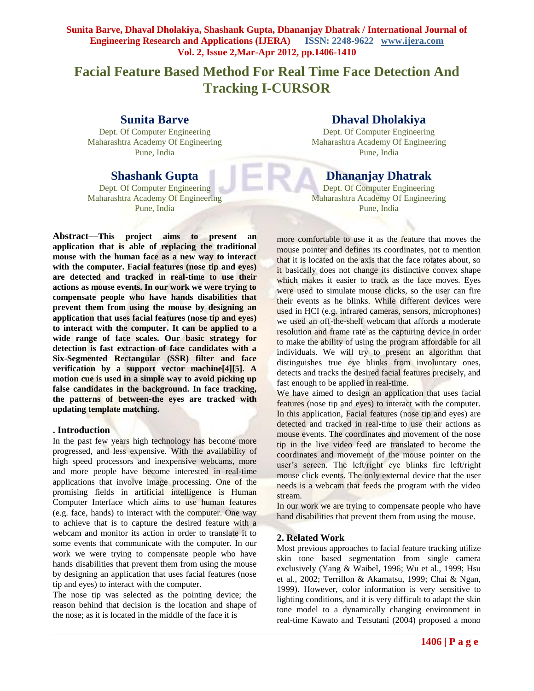# **Facial Feature Based Method For Real Time Face Detection And Tracking I-CURSOR**

## **Sunita Barve**

Dept. Of Computer Engineering Maharashtra Academy Of Engineering Pune, India

## **Shashank Gupta**

Dept. Of Computer Engineering Maharashtra Academy Of Engineering Pune, India

**Abstract—This project aims to present an application that is able of replacing the traditional mouse with the human face as a new way to interact with the computer. Facial features (nose tip and eyes) are detected and tracked in real-time to use their actions as mouse events. In our work we were trying to compensate people who have hands disabilities that prevent them from using the mouse by designing an application that uses facial features (nose tip and eyes) to interact with the computer. It can be applied to a wide range of face scales. Our basic strategy for detection is fast extraction of face candidates with a Six-Segmented Rectangular (SSR) filter and face verification by a support vector machine[4][5]. A motion cue is used in a simple way to avoid picking up false candidates in the background. In face tracking, the patterns of between-the eyes are tracked with updating template matching.**

### **. Introduction**

In the past few years high technology has become more progressed, and less expensive. With the availability of high speed processors and inexpensive webcams, more and more people have become interested in real-time applications that involve image processing. One of the promising fields in artificial intelligence is Human Computer Interface which aims to use human features (e.g. face, hands) to interact with the computer. One way to achieve that is to capture the desired feature with a webcam and monitor its action in order to translate it to some events that communicate with the computer. In our work we were trying to compensate people who have hands disabilities that prevent them from using the mouse by designing an application that uses facial features (nose tip and eyes) to interact with the computer.

The nose tip was selected as the pointing device; the reason behind that decision is the location and shape of the nose; as it is located in the middle of the face it is

## **Dhaval Dholakiya**

Dept. Of Computer Engineering Maharashtra Academy Of Engineering Pune, India

## **Dhananjay Dhatrak**

Dept. Of Computer Engineering Maharashtra Academy Of Engineering Pune, India

more comfortable to use it as the feature that moves the mouse pointer and defines its coordinates, not to mention that it is located on the axis that the face rotates about, so it basically does not change its distinctive convex shape which makes it easier to track as the face moves. Eyes were used to simulate mouse clicks, so the user can fire their events as he blinks. While different devices were used in HCI (e.g. infrared cameras, sensors, microphones) we used an off-the-shelf webcam that affords a moderate resolution and frame rate as the capturing device in order to make the ability of using the program affordable for all individuals. We will try to present an algorithm that distinguishes true eye blinks from involuntary ones, detects and tracks the desired facial features precisely, and fast enough to be applied in real-time.

We have aimed to design an application that uses facial features (nose tip and eyes) to interact with the computer. In this application, Facial features (nose tip and eyes) are detected and tracked in real-time to use their actions as mouse events. The coordinates and movement of the nose tip in the live video feed are translated to become the coordinates and movement of the mouse pointer on the user's screen. The left/right eye blinks fire left/right mouse click events. The only external device that the user needs is a webcam that feeds the program with the video stream.

In our work we are trying to compensate people who have hand disabilities that prevent them from using the mouse.

### **2. Related Work**

Most previous approaches to facial feature tracking utilize skin tone based segmentation from single camera exclusively (Yang & Waibel, 1996; Wu et al., 1999; Hsu et al., 2002; Terrillon & Akamatsu, 1999; Chai & Ngan, 1999). However, color information is very sensitive to lighting conditions, and it is very difficult to adapt the skin tone model to a dynamically changing environment in real-time Kawato and Tetsutani (2004) proposed a mono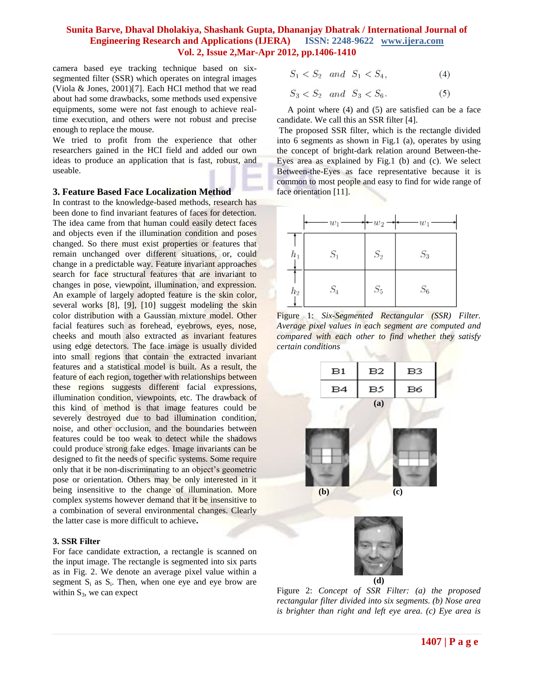camera based eye tracking technique based on sixsegmented filter (SSR) which operates on integral images (Viola & Jones, 2001)[7]. Each HCI method that we read about had some drawbacks, some methods used expensive equipments, some were not fast enough to achieve realtime execution, and others were not robust and precise enough to replace the mouse.

We tried to profit from the experience that other researchers gained in the HCI field and added our own ideas to produce an application that is fast, robust, and useable.

#### **3. Feature Based Face Localization Method**

In contrast to the knowledge-based methods, research has been done to find invariant features of faces for detection. The idea came from that human could easily detect faces and objects even if the illumination condition and poses changed. So there must exist properties or features that remain unchanged over different situations, or, could change in a predictable way. Feature invariant approaches search for face structural features that are invariant to changes in pose, viewpoint, illumination, and expression. An example of largely adopted feature is the skin color, several works [8], [9], [10] suggest modeling the skin color distribution with a Gaussian mixture model. Other facial features such as forehead, eyebrows, eyes, nose, cheeks and mouth also extracted as invariant features using edge detectors. The face image is usually divided into small regions that contain the extracted invariant features and a statistical model is built. As a result, the feature of each region, together with relationships between these regions suggests different facial expressions, illumination condition, viewpoints, etc. The drawback of this kind of method is that image features could be severely destroyed due to bad illumination condition, noise, and other occlusion, and the boundaries between features could be too weak to detect while the shadows could produce strong fake edges. Image invariants can be designed to fit the needs of specific systems. Some require only that it be non-discriminating to an object's geometric pose or orientation. Others may be only interested in it being insensitive to the change of illumination. More complex systems however demand that it be insensitive to a combination of several environmental changes. Clearly the latter case is more difficult to achieve**.**

#### **3. SSR Filter**

For face candidate extraction, a rectangle is scanned on the input image. The rectangle is segmented into six parts as in Fig. 2. We denote an average pixel value within a segment  $S_i$  as  $S_i$ . Then, when one eye and eye brow are within  $S_3$ , we can expect

$$
\bar{S}_1 < \bar{S}_2 \quad and \quad \bar{S}_1 < \bar{S}_4,\tag{4}
$$

$$
\bar{S}_3 < \bar{S}_2 \quad and \quad \bar{S}_3 < \bar{S}_6. \tag{5}
$$

A point where (4) and (5) are satisfied can be a face candidate. We call this an SSR filter [4].

The proposed SSR filter, which is the rectangle divided into 6 segments as shown in Fig.1 (a), operates by using the concept of bright-dark relation around Between-the-Eyes area as explained by Fig.1 (b) and (c). We select Between-the-Eyes as face representative because it is common to most people and easy to find for wide range of face orientation [11].



Figure 1: *Six-Segmented Rectangular (SSR) Filter. Average pixel values in each segment are computed and compared with each other to find whether they satisfy certain conditions*



Figure 2: *Concept of SSR Filter: (a) the proposed rectangular filter divided into six segments. (b) Nose area is brighter than right and left eye area. (c) Eye area is*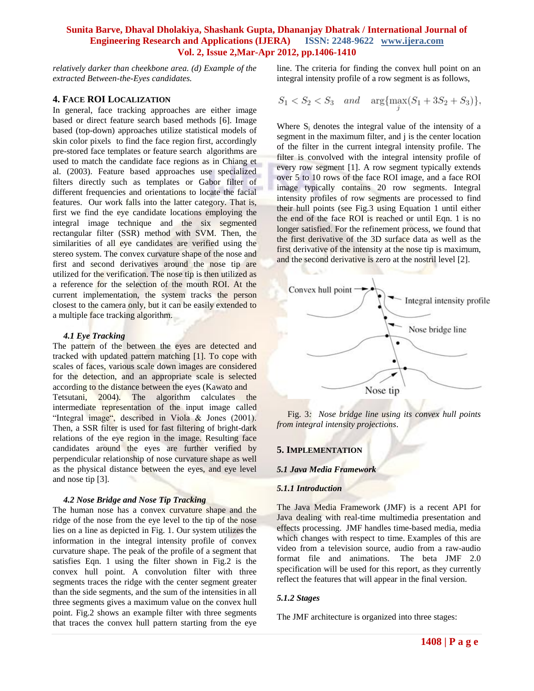*relatively darker than cheekbone area. (d) Example of the extracted Between-the-Eyes candidates.*

#### **4. FACE ROI LOCALIZATION**

In general, face tracking approaches are either image based or direct feature search based methods [6]. Image based (top-down) approaches utilize statistical models of skin color pixels to find the face region first, accordingly pre-stored face templates or feature search algorithms are used to match the candidate face regions as in Chiang et al. (2003). Feature based approaches use specialized filters directly such as templates or Gabor filter of different frequencies and orientations to locate the facial features. Our work falls into the latter category. That is, first we find the eye candidate locations employing the integral image technique and the six segmented rectangular filter (SSR) method with SVM. Then, the similarities of all eye candidates are verified using the stereo system. The convex curvature shape of the nose and first and second derivatives around the nose tip are utilized for the verification. The nose tip is then utilized as a reference for the selection of the mouth ROI. At the current implementation, the system tracks the person closest to the camera only, but it can be easily extended to a multiple face tracking algorithm.

#### *4.1 Eye Tracking*

The pattern of the between the eyes are detected and tracked with updated pattern matching [1]. To cope with scales of faces, various scale down images are considered for the detection, and an appropriate scale is selected according to the distance between the eyes (Kawato and Tetsutani, 2004). The algorithm calculates the intermediate representation of the input image called "Integral image", described in Viola & Jones (2001). Then, a SSR filter is used for fast filtering of bright-dark relations of the eye region in the image. Resulting face candidates around the eyes are further verified by perpendicular relationship of nose curvature shape as well as the physical distance between the eyes, and eye level and nose tip [3].

#### *4.2 Nose Bridge and Nose Tip Tracking*

The human nose has a convex curvature shape and the ridge of the nose from the eye level to the tip of the nose lies on a line as depicted in Fig. 1. Our system utilizes the information in the integral intensity profile of convex curvature shape. The peak of the profile of a segment that satisfies Eqn. 1 using the filter shown in Fig.2 is the convex hull point. A convolution filter with three segments traces the ridge with the center segment greater than the side segments, and the sum of the intensities in all three segments gives a maximum value on the convex hull point. Fig.2 shows an example filter with three segments that traces the convex hull pattern starting from the eye

line. The criteria for finding the convex hull point on an integral intensity profile of a row segment is as follows,

$$
S_1 < S_2 < S_3 \quad and \quad \arg\{\max_j (S_1 + 3S_2 + S_3)\},
$$

Where S<sub>i</sub> denotes the integral value of the intensity of a segment in the maximum filter, and j is the center location of the filter in the current integral intensity profile. The filter is convolved with the integral intensity profile of every row segment [1]. A row segment typically extends over 5 to 10 rows of the face ROI image, and a face ROI image typically contains 20 row segments. Integral intensity profiles of row segments are processed to find their hull points (see Fig.3 using Equation 1 until either the end of the face ROI is reached or until Eqn. 1 is no longer satisfied. For the refinement process, we found that the first derivative of the 3D surface data as well as the first derivative of the intensity at the nose tip is maximum, and the second derivative is zero at the nostril level [2].



Fig. 3*: Nose bridge line using its convex hull points from integral intensity projections*.

#### **5. IMPLEMENTATION**

#### *5.1 Java Media Framework*

#### *5.1.1 Introduction*

The Java Media Framework (JMF) is a recent API for Java dealing with real-time multimedia presentation and effects processing. JMF handles time-based media, media which changes with respect to time. Examples of this are video from a television source, audio from a raw-audio format file and animations. The beta JMF 2.0 specification will be used for this report, as they currently reflect the features that will appear in the final version.

#### *5.1.2 Stages*

The JMF architecture is organized into three stages: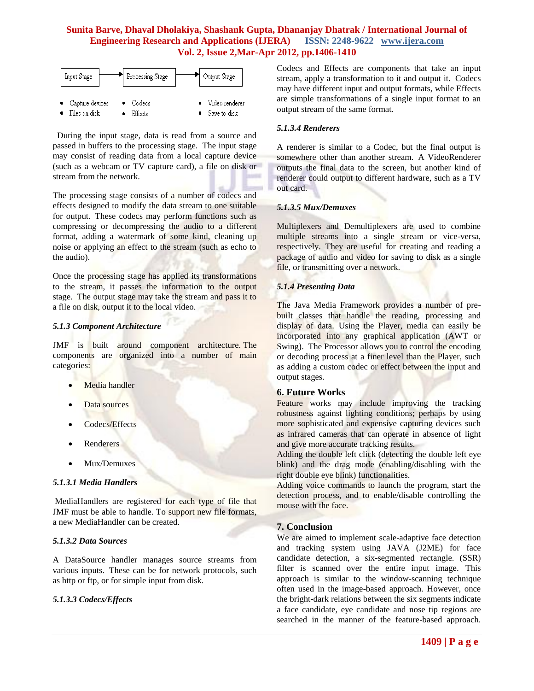

 During the input stage, data is read from a source and passed in buffers to the processing stage. The input stage may consist of reading data from a local capture device (such as a webcam or TV capture card), a file on disk or stream from the network.

The processing stage consists of a number of codecs and effects designed to modify the data stream to one suitable for output. These codecs may perform functions such as compressing or decompressing the audio to a different format, adding a watermark of some kind, cleaning up noise or applying an effect to the stream (such as echo to the audio).

Once the processing stage has applied its transformations to the stream, it passes the information to the output stage. The output stage may take the stream and pass it to a file on disk, output it to the local video.

## *5.1.3 Component Architecture*

JMF is built around component architecture. The components are organized into a number of main categories:

- Media handler
- Data sources
- Codecs/Effects
- Renderers
- Mux/Demuxes

#### *5.1.3.1 Media Handlers*

MediaHandlers are registered for each type of file that JMF must be able to handle. To support new file formats, a new MediaHandler can be created.

### *5.1.3.2 Data Sources*

A DataSource handler manages source streams from various inputs. These can be for network protocols, such as http or ftp, or for simple input from disk.

## *5.1.3.3 Codecs/Effects*

Codecs and Effects are components that take an input stream, apply a transformation to it and output it. Codecs may have different input and output formats, while Effects are simple transformations of a single input format to an output stream of the same format.

#### *5.1.3.4 Renderers*

A renderer is similar to a Codec, but the final output is somewhere other than another stream. A VideoRenderer outputs the final data to the screen, but another kind of renderer could output to different hardware, such as a TV out card.

#### *5.1.3.5 Mux/Demuxes*

Multiplexers and Demultiplexers are used to combine multiple streams into a single stream or vice-versa, respectively. They are useful for creating and reading a package of audio and video for saving to disk as a single file, or transmitting over a network.

## *5.1.4 Presenting Data*

The Java Media Framework provides a number of prebuilt classes that handle the reading, processing and display of data. Using the Player, media can easily be incorporated into any graphical application (AWT or Swing). The Processor allows you to control the encoding or decoding process at a finer level than the Player, such as adding a custom codec or effect between the input and output stages.

### **6. Future Works**

Feature works may include improving the tracking robustness against lighting conditions; perhaps by using more sophisticated and expensive capturing devices such as infrared cameras that can operate in absence of light and give more accurate tracking results.

Adding the double left click (detecting the double left eye blink) and the drag mode (enabling/disabling with the right double eye blink) functionalities.

Adding voice commands to launch the program, start the detection process, and to enable/disable controlling the mouse with the face.

### **7. Conclusion**

We are aimed to implement scale-adaptive face detection and tracking system using JAVA (J2ME) for face candidate detection, a six-segmented rectangle. (SSR) filter is scanned over the entire input image. This approach is similar to the window-scanning technique often used in the image-based approach. However, once the bright-dark relations between the six segments indicate a face candidate, eye candidate and nose tip regions are searched in the manner of the feature-based approach.